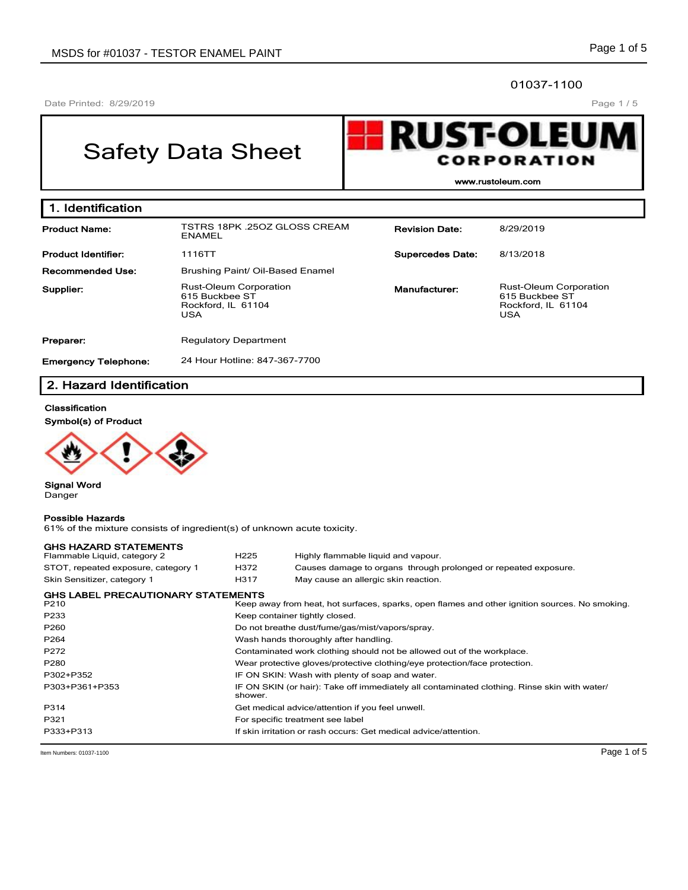### 01037-1100

Date Printed: 8/29/2019

Page 1 / 5

# Safety Data Sheet



**www.rustoleum.com**

| 1. Identification                                            |                                                                                               |                         |                                                                                     |  |  |  |  |  |
|--------------------------------------------------------------|-----------------------------------------------------------------------------------------------|-------------------------|-------------------------------------------------------------------------------------|--|--|--|--|--|
| <b>Product Name:</b>                                         | TSTRS 18PK 25OZ GLOSS CREAM<br>ENAMEL                                                         | <b>Revision Date:</b>   | 8/29/2019                                                                           |  |  |  |  |  |
| <b>Product Identifier:</b>                                   | 1116TT                                                                                        | <b>Supercedes Date:</b> | 8/13/2018                                                                           |  |  |  |  |  |
| <b>Recommended Use:</b>                                      | Brushing Paint/ Oil-Based Enamel                                                              |                         |                                                                                     |  |  |  |  |  |
| Supplier:                                                    | <b>Rust-Oleum Corporation</b><br>Manufacturer:<br>615 Buckbee ST<br>Rockford, IL 61104<br>USA |                         | <b>Rust-Oleum Corporation</b><br>615 Buckbee ST<br>Rockford, IL 61104<br><b>USA</b> |  |  |  |  |  |
| Preparer:                                                    | <b>Regulatory Department</b>                                                                  |                         |                                                                                     |  |  |  |  |  |
| 24 Hour Hotline: 847-367-7700<br><b>Emergency Telephone:</b> |                                                                                               |                         |                                                                                     |  |  |  |  |  |

## **2. Hazard Identification**

## **Classification**

**Symbol(s) of Product**



**Signal Word** Danger

#### **Possible Hazards**

61% of the mixture consists of ingredient(s) of unknown acute toxicity.

| <b>GHS HAZARD STATEMENTS</b>              |                                                                            |                                                                                                |  |  |
|-------------------------------------------|----------------------------------------------------------------------------|------------------------------------------------------------------------------------------------|--|--|
| Flammable Liquid, category 2              | H <sub>225</sub>                                                           | Highly flammable liquid and vapour.                                                            |  |  |
| STOT, repeated exposure, category 1       | H372                                                                       | Causes damage to organs through prolonged or repeated exposure.                                |  |  |
| Skin Sensitizer, category 1               | H317                                                                       | May cause an allergic skin reaction.                                                           |  |  |
| <b>GHS LABEL PRECAUTIONARY STATEMENTS</b> |                                                                            |                                                                                                |  |  |
| P <sub>210</sub>                          |                                                                            | Keep away from heat, hot surfaces, sparks, open flames and other ignition sources. No smoking. |  |  |
| P233                                      |                                                                            | Keep container tightly closed.                                                                 |  |  |
| P <sub>260</sub>                          |                                                                            | Do not breathe dust/fume/gas/mist/vapors/spray.                                                |  |  |
| P <sub>264</sub>                          | Wash hands thoroughly after handling.                                      |                                                                                                |  |  |
| P272                                      | Contaminated work clothing should not be allowed out of the workplace.     |                                                                                                |  |  |
| P280                                      | Wear protective gloves/protective clothing/eye protection/face protection. |                                                                                                |  |  |
| P302+P352                                 |                                                                            | IF ON SKIN: Wash with plenty of soap and water.                                                |  |  |
| P303+P361+P353                            | shower.                                                                    | IF ON SKIN (or hair): Take off immediately all contaminated clothing. Rinse skin with water/   |  |  |
| P314                                      | Get medical advice/attention if you feel unwell.                           |                                                                                                |  |  |
| P321                                      | For specific treatment see label                                           |                                                                                                |  |  |
| P333+P313                                 |                                                                            | If skin irritation or rash occurs: Get medical advice/attention.                               |  |  |

Item Numbers: 01037-1100 **Page 1 of 5**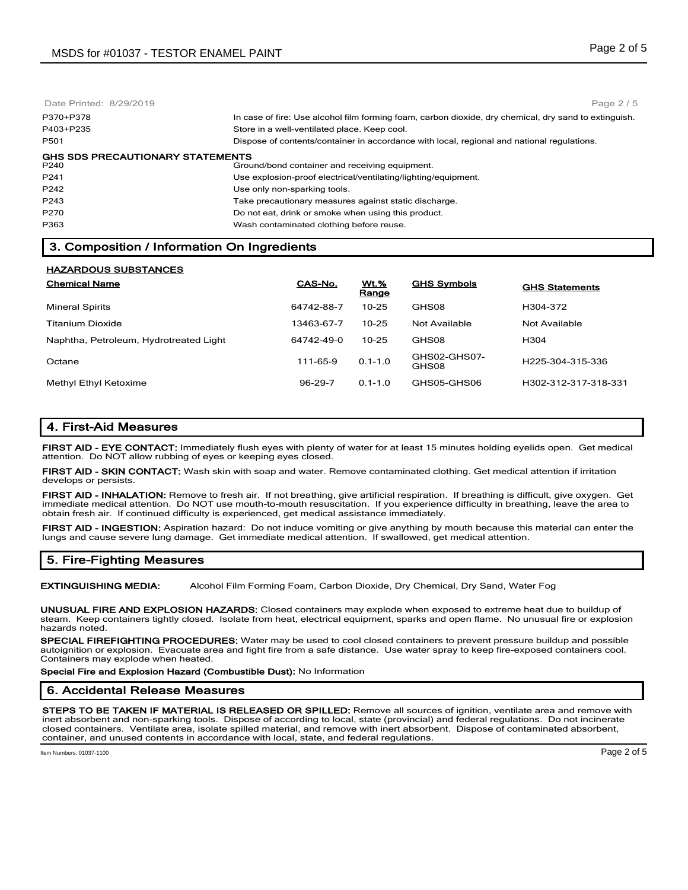Date Printed: 8/29/2019 P370+P378 In case of fire: Use alcohol film forming foam, carbon dioxide, dry chemical, dry sand to extinguish. P403+P235 Store in a well-ventilated place. Keep cool. P501 Dispose of contents/container in accordance with local, regional and national regulations. **GHS SDS PRECAUTIONARY STATEMENTS**<br>P240 **Grou** Ground/bond container and receiving equipment. P241 Use explosion-proof electrical/ventilating/lighting/equipment. P242 **Disk P242** Use only non-sparking tools. P243 Take precautionary measures against static discharge. P270 Do not eat, drink or smoke when using this product. P363 Wash contaminated clothing before reuse. Page 2 / 5

## **3. Composition / Information On Ingredients**

| <b>HAZARDOUS SUBSTANCES</b>            |            |                  |                       |                       |  |  |  |
|----------------------------------------|------------|------------------|-----------------------|-----------------------|--|--|--|
| <b>Chemical Name</b>                   | CAS-No.    | $Wt.$ %<br>Range | <b>GHS Symbols</b>    | <b>GHS Statements</b> |  |  |  |
| <b>Mineral Spirits</b>                 | 64742-88-7 | $10 - 25$        | GHS08                 | H304-372              |  |  |  |
| <b>Titanium Dioxide</b>                | 13463-67-7 | $10 - 25$        | Not Available         | Not Available         |  |  |  |
| Naphtha, Petroleum, Hydrotreated Light | 64742-49-0 | $10 - 25$        | GHS08                 | H <sub>304</sub>      |  |  |  |
| Octane                                 | 111-65-9   | $0.1 - 1.0$      | GHS02-GHS07-<br>GHS08 | H225-304-315-336      |  |  |  |
| Methyl Ethyl Ketoxime                  | 96-29-7    | $0.1 - 1.0$      | GHS05-GHS06           | H302-312-317-318-331  |  |  |  |

## **4. First-Aid Measures**

**FIRST AID - EYE CONTACT:** Immediately flush eyes with plenty of water for at least 15 minutes holding eyelids open. Get medical attention. Do NOT allow rubbing of eyes or keeping eyes closed.

**FIRST AID - SKIN CONTACT:** Wash skin with soap and water. Remove contaminated clothing. Get medical attention if irritation develops or persists.

**FIRST AID - INHALATION:** Remove to fresh air. If not breathing, give artificial respiration. If breathing is difficult, give oxygen. Get immediate medical attention. Do NOT use mouth-to-mouth resuscitation. If you experience difficulty in breathing, leave the area to obtain fresh air. If continued difficulty is experienced, get medical assistance immediately.

**FIRST AID - INGESTION:** Aspiration hazard: Do not induce vomiting or give anything by mouth because this material can enter the lungs and cause severe lung damage. Get immediate medical attention. If swallowed, get medical attention.

## **5. Fire-Fighting Measures**

**EXTINGUISHING MEDIA:** Alcohol Film Forming Foam, Carbon Dioxide, Dry Chemical, Dry Sand, Water Fog

**UNUSUAL FIRE AND EXPLOSION HAZARDS:** Closed containers may explode when exposed to extreme heat due to buildup of steam. Keep containers tightly closed. Isolate from heat, electrical equipment, sparks and open flame. No unusual fire or explosion hazards noted.

**SPECIAL FIREFIGHTING PROCEDURES:** Water may be used to cool closed containers to prevent pressure buildup and possible autoignition or explosion. Evacuate area and fight fire from a safe distance. Use water spray to keep fire-exposed containers cool. Containers may explode when heated.

**Special Fire and Explosion Hazard (Combustible Dust):** No Information

#### **6. Accidental Release Measures**

**STEPS TO BE TAKEN IF MATERIAL IS RELEASED OR SPILLED:** Remove all sources of ignition, ventilate area and remove with inert absorbent and non-sparking tools. Dispose of according to local, state (provincial) and federal regulations. Do not incinerate closed containers. Ventilate area, isolate spilled material, and remove with inert absorbent. Dispose of contaminated absorbent, container, and unused contents in accordance with local, state, and federal regulations.

Item Numbers: 01037-1100 Page 2 of 5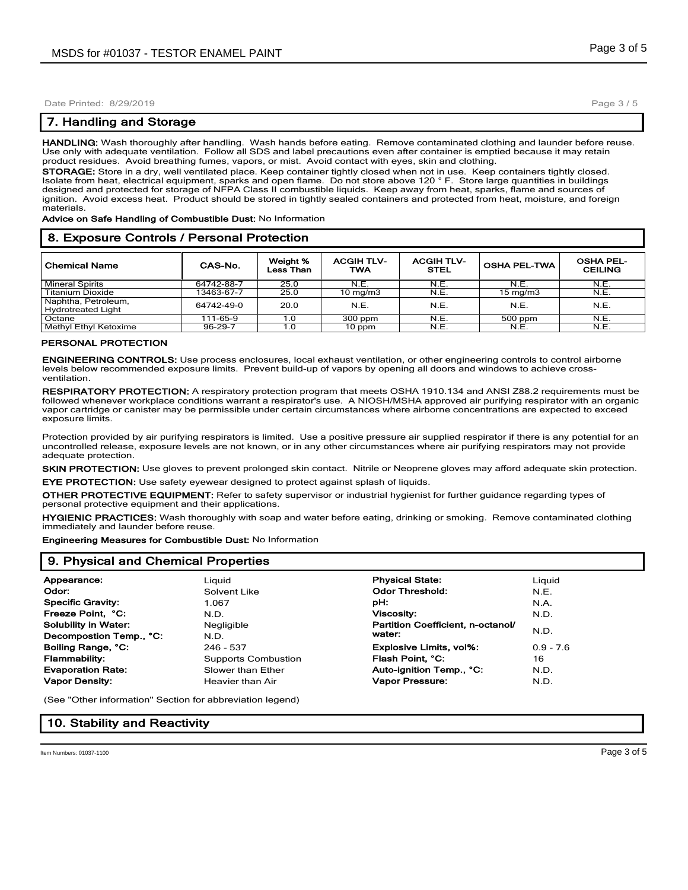Date Printed: 8/29/2019

## **7. Handling and Storage**

**HANDLING:** Wash thoroughly after handling. Wash hands before eating. Remove contaminated clothing and launder before reuse. Use only with adequate ventilation. Follow all SDS and label precautions even after container is emptied because it may retain product residues. Avoid breathing fumes, vapors, or mist. Avoid contact with eyes, skin and clothing.

**STORAGE:** Store in a dry, well ventilated place. Keep container tightly closed when not in use. Keep containers tightly closed. Isolate from heat, electrical equipment, sparks and open flame. Do not store above 120 ° F. Store large quantities in buildings designed and protected for storage of NFPA Class II combustible liquids. Keep away from heat, sparks, flame and sources of ignition. Avoid excess heat. Product should be stored in tightly sealed containers and protected from heat, moisture, and foreign materials.

**Advice on Safe Handling of Combustible Dust:** No Information

### **8. Exposure Controls / Personal Protection**

| <b>Chemical Name</b>                             | CAS-No.    | Weight %<br>Less Than | <b>ACGIH TLV-</b><br><b>TWA</b> | <b>ACGIH TLV-</b><br><b>STEL</b> | <b>OSHA PEL-TWA</b> | <b>OSHA PEL-</b><br><b>CEILING</b> |
|--------------------------------------------------|------------|-----------------------|---------------------------------|----------------------------------|---------------------|------------------------------------|
| <b>Mineral Spirits</b>                           | 64742-88-7 | 25.0                  | N.E.                            | N.E.                             | N.E.                | N.E.                               |
| <b>Titanium Dioxide</b>                          | 13463-67-7 | 25.0                  | $10 \text{ mg/m}$               | N.E.                             | $15 \text{ mg/m}$   | N.E.                               |
| Naphtha, Petroleum,<br><b>Hydrotreated Light</b> | 64742-49-0 | 20.0                  | N.E.                            | N.E.                             | N.E.                | N.E.                               |
| Octane                                           | 111-65-9   | 1.0                   | 300 ppm                         | N.E.                             | 500 ppm             | N.E.                               |
| <b>Methyl Ethyl Ketoxime</b>                     | 96-29-7    | 1.0                   | 10 ppm                          | N.E.                             | N.E.                | N.E.                               |

#### **PERSONAL PROTECTION**

**ENGINEERING CONTROLS:** Use process enclosures, local exhaust ventilation, or other engineering controls to control airborne levels below recommended exposure limits. Prevent build-up of vapors by opening all doors and windows to achieve crossventilation.

**RESPIRATORY PROTECTION:** A respiratory protection program that meets OSHA 1910.134 and ANSI Z88.2 requirements must be followed whenever workplace conditions warrant a respirator's use. A NIOSH/MSHA approved air purifying respirator with an organic vapor cartridge or canister may be permissible under certain circumstances where airborne concentrations are expected to exceed exposure limits.

Protection provided by air purifying respirators is limited. Use a positive pressure air supplied respirator if there is any potential for an uncontrolled release, exposure levels are not known, or in any other circumstances where air purifying respirators may not provide adequate protection.

**SKIN PROTECTION:** Use gloves to prevent prolonged skin contact. Nitrile or Neoprene gloves may afford adequate skin protection. **EYE PROTECTION:** Use safety eyewear designed to protect against splash of liquids.

**OTHER PROTECTIVE EQUIPMENT:** Refer to safety supervisor or industrial hygienist for further guidance regarding types of personal protective equipment and their applications.

**HYGIENIC PRACTICES:** Wash thoroughly with soap and water before eating, drinking or smoking. Remove contaminated clothing immediately and launder before reuse.

**Engineering Measures for Combustible Dust:** No Information

## **9. Physical and Chemical Properties**

| Appearance:                 | Liguid                     | <b>Physical State:</b>            | Liguid      |
|-----------------------------|----------------------------|-----------------------------------|-------------|
| Odor:                       | Solvent Like               | <b>Odor Threshold:</b>            | N.E.        |
| <b>Specific Gravity:</b>    | 1.067                      | pН:                               | N.A.        |
| Freeze Point, °C:           | N.D.                       | <b>Viscosity:</b>                 | N.D.        |
| <b>Solubility in Water:</b> | Negligible                 | Partition Coefficient, n-octanol/ |             |
| Decompostion Temp., °C:     | N.D.                       | water:                            | N.D.        |
| Boiling Range, °C:          | 246 - 537                  | <b>Explosive Limits, vol%:</b>    | $0.9 - 7.6$ |
| Flammability:               | <b>Supports Combustion</b> | Flash Point, °C:                  | 16          |
| <b>Evaporation Rate:</b>    | Slower than Ether          | Auto-ignition Temp., °C:          | N.D.        |
| <b>Vapor Density:</b>       | Heavier than Air           | Vapor Pressure:                   | N.D.        |
|                             |                            |                                   |             |

(See "Other information" Section for abbreviation legend)

## **10. Stability and Reactivity**

Page 3 / 5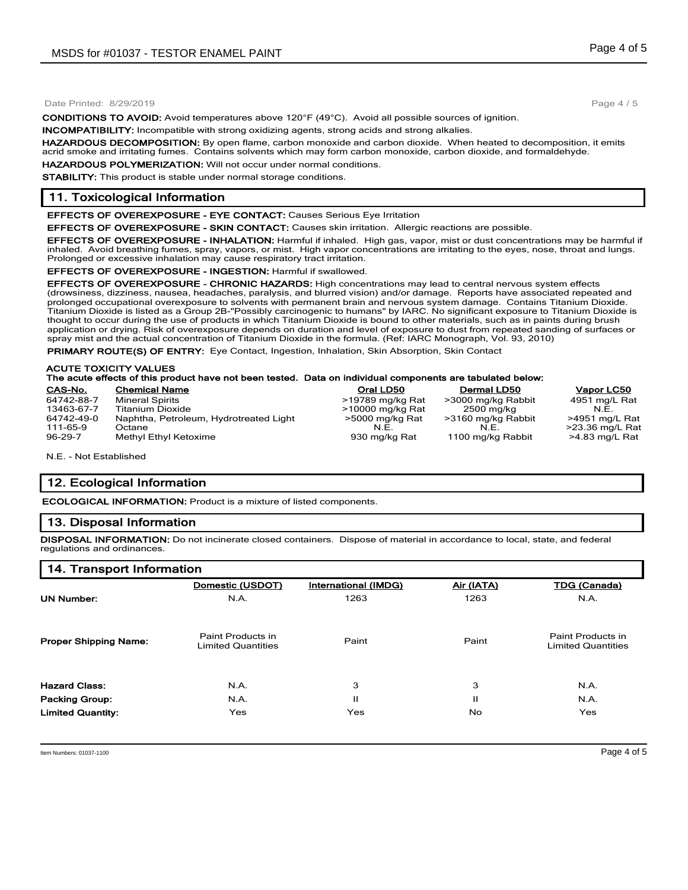#### Date Printed: 8/29/2019

**CONDITIONS TO AVOID:** Avoid temperatures above 120°F (49°C). Avoid all possible sources of ignition.

**INCOMPATIBILITY:** Incompatible with strong oxidizing agents, strong acids and strong alkalies.

**HAZARDOUS DECOMPOSITION:** By open flame, carbon monoxide and carbon dioxide. When heated to decomposition, it emits acrid smoke and irritating fumes. Contains solvents which may form carbon monoxide, carbon dioxide, and formaldehyde.

**HAZARDOUS POLYMERIZATION:** Will not occur under normal conditions. **STABILITY:** This product is stable under normal storage conditions.

## **11. Toxicological Information**

**EFFECTS OF OVEREXPOSURE - EYE CONTACT:** Causes Serious Eye Irritation

**EFFECTS OF OVEREXPOSURE - SKIN CONTACT:** Causes skin irritation. Allergic reactions are possible.

**EFFECTS OF OVEREXPOSURE - INHALATION:** Harmful if inhaled. High gas, vapor, mist or dust concentrations may be harmful if inhaled. Avoid breathing fumes, spray, vapors, or mist. High vapor concentrations are irritating to the eyes, nose, throat and lungs. Prolonged or excessive inhalation may cause respiratory tract irritation.

**EFFECTS OF OVEREXPOSURE - INGESTION:** Harmful if swallowed.

**EFFECTS OF OVEREXPOSURE - CHRONIC HAZARDS:** High concentrations may lead to central nervous system effects (drowsiness, dizziness, nausea, headaches, paralysis, and blurred vision) and/or damage. Reports have associated repeated and prolonged occupational overexposure to solvents with permanent brain and nervous system damage. Contains Titanium Dioxide. Titanium Dioxide is listed as a Group 2B-"Possibly carcinogenic to humans" by IARC. No significant exposure to Titanium Dioxide is thought to occur during the use of products in which Titanium Dioxide is bound to other materials, such as in paints during brush application or drying. Risk of overexposure depends on duration and level of exposure to dust from repeated sanding of surfaces or spray mist and the actual concentration of Titanium Dioxide in the formula. (Ref: IARC Monograph, Vol. 93, 2010)

**PRIMARY ROUTE(S) OF ENTRY:** Eye Contact, Ingestion, Inhalation, Skin Absorption, Skin Contact

#### **ACUTE TOXICITY VALUES**

## **The acute effects of this product have not been tested. Data on individual components are tabulated below:**

| CAS-No.    | <b>Chemical Name</b>                   | Oral LD50        | <b>Dermal LD50</b> | Vapor LC50      |
|------------|----------------------------------------|------------------|--------------------|-----------------|
| 64742-88-7 | <b>Mineral Spirits</b>                 | >19789 mg/kg Rat | >3000 mg/kg Rabbit | 4951 mg/L Rat   |
| 13463-67-7 | <b>Titanium Dioxide</b>                | >10000 mg/kg Rat | 2500 mg/kg         | N.E.            |
| 64742-49-0 | Naphtha, Petroleum, Hydrotreated Light | >5000 mg/kg Rat  | >3160 mg/kg Rabbit | >4951 mg/L Rat  |
| 111-65-9   | Octane                                 | N.E.             | N.E.               | >23.36 mg/L Rat |
| 96-29-7    | Methyl Ethyl Ketoxime                  | 930 mg/kg Rat    | 1100 mg/kg Rabbit  | >4.83 mg/L Rat  |

N.E. - Not Established

## **12. Ecological Information**

**ECOLOGICAL INFORMATION:** Product is a mixture of listed components.

## **13. Disposal Information**

**DISPOSAL INFORMATION:** Do not incinerate closed containers. Dispose of material in accordance to local, state, and federal regulations and ordinances.

#### **14. Transport Information**

|                              | Domestic (USDOT)                               | International (IMDG) | Air (IATA) | <b>TDG (Canada)</b>                            |
|------------------------------|------------------------------------------------|----------------------|------------|------------------------------------------------|
| <b>UN Number:</b>            | N.A.                                           | 1263                 | 1263       | N.A.                                           |
| <b>Proper Shipping Name:</b> | Paint Products in<br><b>Limited Quantities</b> | Paint                | Paint      | Paint Products in<br><b>Limited Quantities</b> |
| <b>Hazard Class:</b>         | N.A.                                           | 3                    | 3          | N.A.                                           |
| <b>Packing Group:</b>        | N.A.                                           | п                    | Ш          | N.A.                                           |
| <b>Limited Quantity:</b>     | Yes                                            | Yes                  | No.        | <b>Yes</b>                                     |

Page 4 / 5